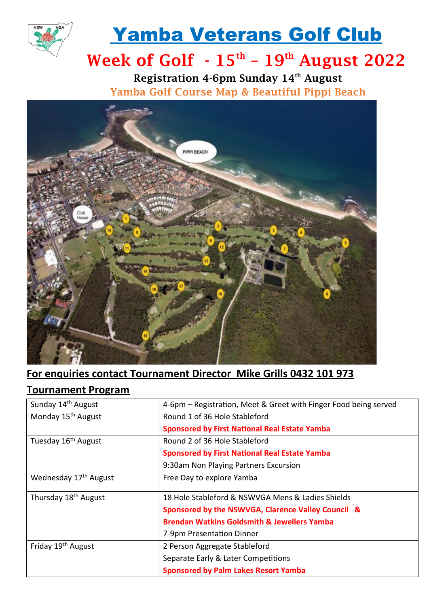

# Yamba Veterans Golf Club

## Week of Golf  $-15^{th}$  –  $19^{th}$  August 2022

Registration 4-6pm Sunday 14<sup>th</sup> August Yamba Golf Course Map & Beautiful Pippi Beach



## **For enquiries contact Tournament Director Mike Grills 0432 101 973**

### **Tournament Program**

| Sunday 14 <sup>th</sup> August    | 4-6pm – Registration, Meet & Greet with Finger Food being served |
|-----------------------------------|------------------------------------------------------------------|
| Monday 15 <sup>th</sup> August    | Round 1 of 36 Hole Stableford                                    |
|                                   | <b>Sponsored by First National Real Estate Yamba</b>             |
| Tuesday 16 <sup>th</sup> August   | Round 2 of 36 Hole Stableford                                    |
|                                   | <b>Sponsored by First National Real Estate Yamba</b>             |
|                                   | 9:30am Non Playing Partners Excursion                            |
| Wednesday 17 <sup>th</sup> August | Free Day to explore Yamba                                        |
| Thursday 18 <sup>th</sup> August  | 18 Hole Stableford & NSWVGA Mens & Ladies Shields                |
|                                   | Sponsored by the NSWVGA, Clarence Valley Council &               |
|                                   | <b>Brendan Watkins Goldsmith &amp; Jewellers Yamba</b>           |
|                                   | 7-9pm Presentation Dinner                                        |
| Friday 19 <sup>th</sup> August    | 2 Person Aggregate Stableford                                    |
|                                   | Separate Early & Later Competitions                              |
|                                   | <b>Sponsored by Palm Lakes Resort Yamba</b>                      |